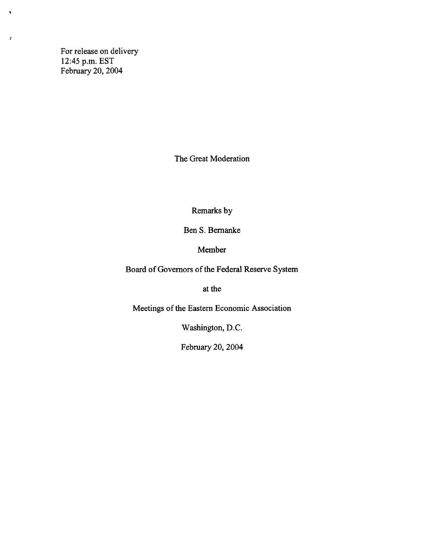For release on delivery 12:45 p.m. EST February 20, 2004

 $\pmb{\eta}$ 

 $\pmb{\ell}$ 

The Great Moderation

Remarks by

Ben S. Bernanke

Member

Board of Governors of the Federal Reserve System

at the

Meetings of the Eastern Economic Association

Washington, D.C.

February 20, 2004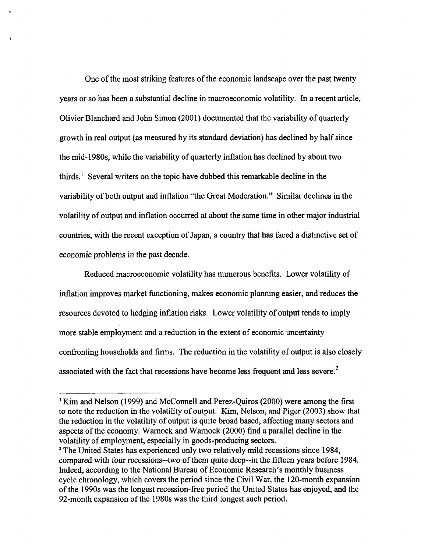One of the most striking features of the economic landscape over the past twenty years or so has been a substantial decline in macroeconomic volatility. In a recent article, Olivier Blanchard and John Simon (2001) documented that the variability of quarterly growth in real output (as measured by its standard deviation) has declined by half since the mid-1980s, while the variability of quarterly inflation has declined by about two thirds.<sup>1</sup> Several writers on the topic have dubbed this remarkable decline in the variability of both output and inflation "the Great Moderation." Similar declines in the volatility of output and inflation occurred at about the same time in other major industrial countries, with the recent exception of Japan, a country that has faced a distinctive set of economic problems in the past decade.

Reduced macroeconomic volatility has numerous benefits. Lower volatility of inflation improves market functioning, makes economic planning easier, and reduces the resources devoted to hedging inflation risks. Lower volatility of output tends to imply more stable employment and a reduction in the extent of economic uncertainty confronting households and firms. The reduction in the volatility of output is also closely associated with the fact that recessions have become less frequent and less severe.<sup>2</sup>

<sup>&</sup>lt;sup>1</sup>Kim and Nelson (1999) and McConnell and Perez-Quiros (2000) were among the first to note the reduction in the volatility of output. Kim, Nelson, and Piger (2003) show that the reduction in the volatility of output is quite broad based, affecting many sectors and aspects of the economy. Warnock and Warnock (2000) find a parallel decline in the volatility of employment, especially in goods-producing sectors.

<sup>&</sup>lt;sup>2</sup> The United States has experienced only two relatively mild recessions since 1984, compared with four recessions--two of them quite deep--in the fifteen years before 1984. Indeed, according to the National Bureau of Economic Research's monthly business cycle chronology, which covers the period since the Civil War, the 120-month expansion of the 1990s was the longest recession-free period the United States has enjoyed, and the 92-month expansion of the 1980s was the third longest such period.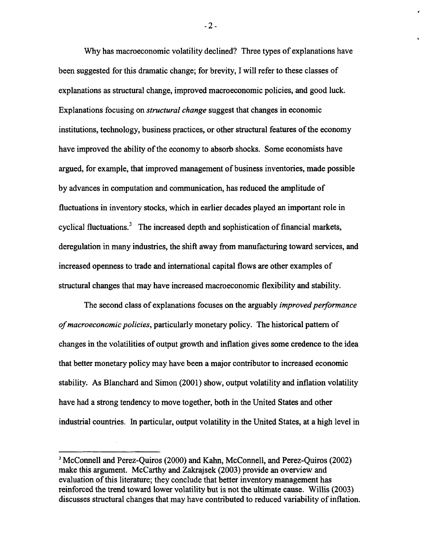Why has macroeconomic volatility declined? Three types of explanations have been suggested for this dramatic change; for brevity, I will refer to these classes of explanations as structural change, improved macroeconomic policies, and good luck. Explanations focusing on *structural change* suggest that changes in economic institutions, technology, business practices, or other structural features of the economy have improved the ability of the economy to absorb shocks. Some economists have argued, for example, that improved management of business inventories, made possible by advances in computation and communication, has reduced the amplitude of fluctuations in inventory stocks, which in earlier decades played an important role in cyclical fluctuations. $3$  The increased depth and sophistication of financial markets, deregulation in many industries, the shift away from manufacturing toward services, and increased openness to trade and international capital flows are other examples of structural changes that may have increased macroeconomic flexibility and stability.

The second class of explanations focuses on the arguably *improved performance of macroeconomic policies,* particularly monetary policy. The historical pattern of changes in the volatilities of output growth and inflation gives some credence to the idea that better monetary policy may have been a major contributor to increased economic stability. As Blanchard and Simon (2001) show, output volatility and inflation volatility have had a strong tendency to move together, both in the United States and other industrial countries. In particular, output volatility in the United States, at a high level in

-2-

<sup>3</sup> McConnell and Perez-Quiros (2000) and Kahn, McConnell, and Perez-Quiros (2002) make this argument. McCarthy and Zakrajsek (2003) provide an overview and evaluation of this literature; they conclude that better inventory management has reinforced the trend toward lower volatility but is not the ultimate cause. Willis (2003) discusses structural changes that may have contributed to reduced variability of inflation.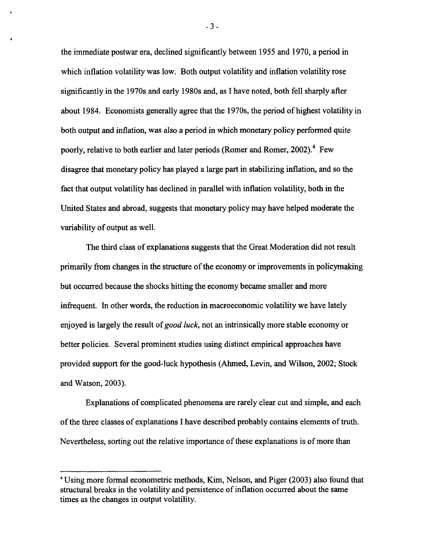the immediate postwar era, declined significantly between 1955 and 1970, a period in which inflation volatility was low. Both output volatility and inflation volatility rose significantly in the 1970s and early 1980s and, as I have noted, both fell sharply after about 1984. Economists generally agree that the 1970s, the period of highest volatility in both output and inflation, was also a period in which monetary policy performed quite poorly, relative to both earlier and later periods (Romer and Romer, 2002).<sup>4</sup> Few disagree that monetary policy has played a large part in stabilizing inflation, and so the fact that output volatility has declined in parallel with inflation volatility, both in the United States and abroad, suggests that monetary policy may have helped moderate the variability of output as well.

The third class of explanations suggests that the Great Moderation did not result primarily from changes in the structure of the economy or improvements in policymaking but occurred because the shocks hitting the economy became smaller and more infrequent. In other words, the reduction in macroeconomic volatility we have lately enjoyed is largely the result of *good luck,* not an intrinsically more stable economy or better policies. Several prominent studies using distinct empirical approaches have provided support for the good-luck hypothesis (Aluned, Levin, and Wilson, 2002; Stock and Watson, 2003).

Explanations of complicated phenomena are rarely clear cut and simple, and each of the three classes of explanations I have described probably contains elements of truth. Nevertheless, sorting out the relative importance of these explanations is of more than

-3-

<sup>4</sup> Using more formal econometric methods, Kim, Nelson, and Piger (2003) also found that structural breaks in the volatility and persistence of inflation occurred about the same times as the changes in output volatility.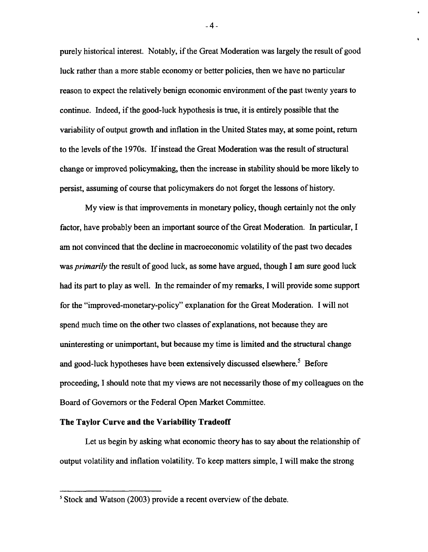purely historical interest. Notably, if the Great Moderation was largely the result of good luck rather than a more stable economy or better policies, then we have no particular reason to expect the relatively benign economic environment of the past twenty years to continue. Indeed, ifthe good-luck hypothesis is true, it is entirely possible that the variability of output growth and inflation in the United States may, at some point, return to the levels of the 1970s. If instead the Great Moderation was the result of structural change or improved policymaking, then the increase in stability should be more likely to persist, assuming of course that policymakers do not forget the lessons of history.

My view is that improvements in monetary policy, though certainly not the only factor, have probably been an important source of the Great Moderation. In particular, I am not convinced that the decline in macroeconomic volatility of the past two decades was *primarily* the result of good luck, as some have argued, though I am sure good luck had its part to playas well. In the remainder of my remarks, I will provide some support for the "improved-monetary-policy" explanation for the Great Moderation. I will not spend much time on the other two classes of explanations, not because they are uninteresting or unimportant, but because my time is limited and the structural change and good-luck hypotheses have been extensively discussed elsewhere.<sup>5</sup> Before proceeding, I should note that my views are not necessarily those of my colleagues on the Board of Governors or the Federal Open Market Committee.

## **The Taylor Curve and the Variability Tradeoff**

Let us begin by asking what economic theory has to say about the relationship of output volatility and inflation volatility. To keep matters simple, I will make the strong

-4-

<sup>5</sup> Stock and Watson (2003) provide a recent overview of the debate.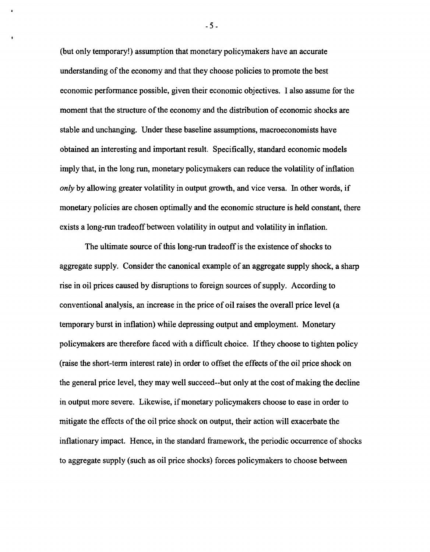(but only temporary!) assumption that monetary policymakers have an accurate understanding of the economy and that they choose policies to promote the best economic performance possible, given their economic objectives. I also assume for the moment that the structure of the economy and the distribution of economic shocks are stable and unchanging. Under these baseline assumptions, macroeconomists have obtained an interesting and important result. Specifically, standard economic models imply that, in the long run, monetary policymakers can reduce the volatility of inflation *only* by allowing greater volatility in output growth, and vice versa. In other words, if monetary policies are chosen optimally and the economic structure is held constant, there exists a long-run tradeoff between volatility in output and volatility in inflation.

The ultimate source of this long-run tradeoff is the existence of shocks to aggregate supply. Consider the canonical example of an aggregate supply shock, a sharp rise in oil prices caused by disruptions to foreign sources of supply. According to conventional analysis, an increase in the price of oil raises the overall price level (a temporary burst in inflation) while depressing output and employment. Monetary policymakers are therefore faced with a difficult choice. If they choose to tighten policy (raise the short-term interest rate) in order to offset the effects of the oil price shock on the general price level, they may well succeed--but only at the cost of making the decline in output more severe. Likewise, if monetary policymakers choose to ease in order to mitigate the effects of the oil price shock on output, their action will exacerbate the inflationary impact. Hence, in the standard framework, the periodic occurrence of shocks to aggregate supply (such as oil price shocks) forces policymakers to choose between

- 5 -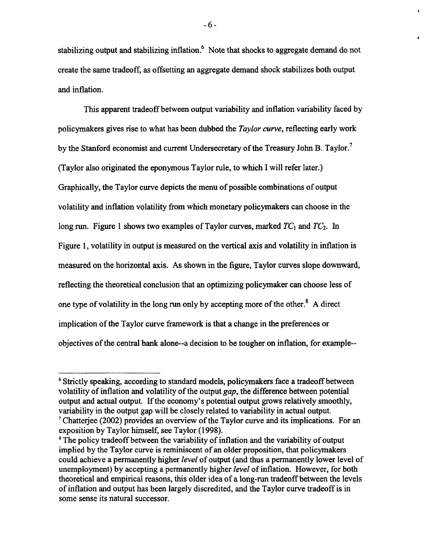stabilizing output and stabilizing inflation.<sup>6</sup> Note that shocks to aggregate demand do not create the same tradeoff, as offsetting an aggregate demand shock stabilizes both output and inflation.

This apparent tradeoff between output variability and inflation variability faced by policymakers gives rise to what has been dubbed the *Taylor curve,* reflecting early work by the Stanford economist and current Undersecretary of the Treasury John B. Taylor.<sup>7</sup> (Taylor also originated the eponymous Taylor rule, to which I will refer later.) Graphically, the Taylor curve depicts the menu of possible combinations of output volatility and inflation volatility from which monetary policymakers can choose in the long run. Figure 1 shows two examples of Taylor curves, marked  $TC_1$  and  $TC_2$ . In Figure 1, volatility in output is measured on the vertical axis and volatility in inflation is measured on the horizontal axis. As shown in the figure, Taylor curves slope downward, reflecting the theoretical conclusion that an optimizing policymaker can choose less of one type of volatility in the long run only by accepting more of the other. $8$  A direct implication of the Taylor curve framework is that a change in the preferences or objectives of the central bank alone--a decision to be tougher on inflation, for example--

<sup>&</sup>lt;sup>6</sup> Strictly speaking, according to standard models, policymakers face a tradeoff between volatility of inflation and volatility of the output *gap,* the difference between potential output and actual output. If the economy's potential output grows relatively smoothly, variability in the output gap will be closely related to variability in actual output.

<sup>7</sup> Chatterjee (2002) provides an overview of the Taylor curve and its implications. For an exposition by Taylor himself, see Taylor (1998).

<sup>&</sup>lt;sup>8</sup> The policy tradeoff between the variability of inflation and the variability of output implied by the Taylor curve is reminiscent of an older proposition, that policymakers could achieve a permanently higher *level* of output (and thus a permanently lower level of unemployment) by accepting a permanently higher *level* of inflation. However, for both theoretical and empirical reasons, this older idea of a long-run tradeoff between the levels of inflation and output has been largely discredited, and the Taylor curve tradeoff is in some sense its natural successor.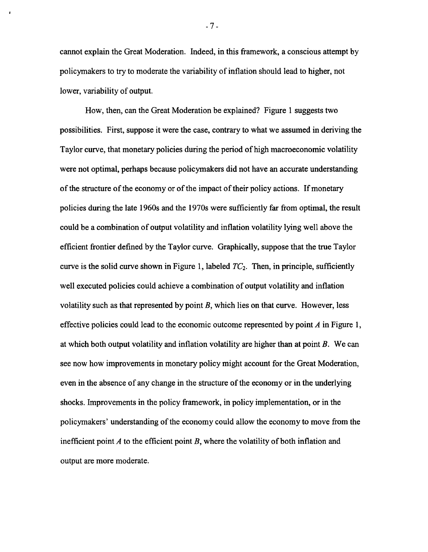cannot explain the Great Moderation. Indeed, in this framework, a conscious attempt by policymakers to try to moderate the variability of inflation should lead to higher, not lower, variability of output.

How, then, can the Great Moderation be explained? Figure 1 suggests two possibilities. First, suppose it were the case, contrary to what we assumed in deriving the Taylor curve, that monetary policies during the period of high macroeconomic volatility were not optimal, perhaps because policymakers did not have an accurate understanding of the structure of the economy or of the impact of their policy actions. Ifmonetary policies during the late 1960s and the 1970s were sufficiently far from optimal, the result could be a combination of output volatility and inflation volatility lying well above the efficient frontier defined by the Taylor curve. Graphically, suppose that the true Taylor curve is the solid curve shown in Figure 1, labeled  $TC_2$ . Then, in principle, sufficiently well executed policies could achieve a combination of output volatility and inflation volatility such as that represented by point  $B$ , which lies on that curve. However, less effective policies could lead to the economic outcome represented by point *A* in Figure 1, at which both output volatility and inflation volatility are higher than at point  $B$ . We can see now how improvements in monetary policy might account for the Great Moderation, even in the absence of any change in the structure of the economy or in the underlying shocks. Improvements in the policy framework, in policy implementation, or in the policymakers' understanding ofthe economy could allow the economy to move from the inefficient point A to the efficient point B, where the volatility of both inflation and output are more moderate.

- 7 -

 $\lambda$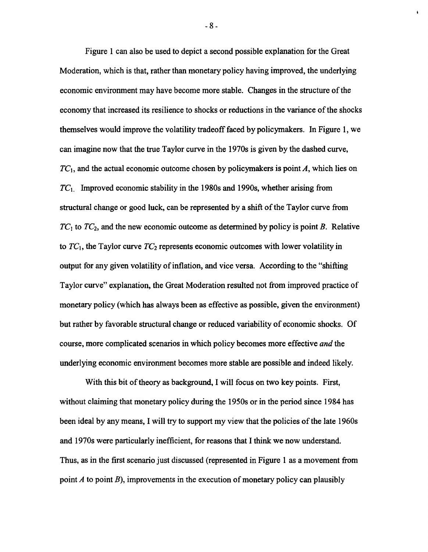Figure 1 can also be used to depict a second possible explanation for the Great Moderation, which is that, rather than monetary policy having improved, the underlying economic environment may have become more stable. Changes in the structure of the economy that increased its resilience to shocks or reductions in the variance of the shocks themselves would improve the volatility tradeoff faced by policymakers. In Figure 1, we can imagine now that the true Taylor curve in the 1970s is given by the dashed curve,  $TC_1$ , and the actual economic outcome chosen by policymakers is point A, which lies on  $TC_1$  Improved economic stability in the 1980s and 1990s, whether arising from structural change or good luck, can be represented by a shift of the Taylor curve from  $TC_1$  to  $TC_2$ , and the new economic outcome as determined by policy is point *B*. Relative to  $TC_1$ , the Taylor curve  $TC_2$  represents economic outcomes with lower volatility in output for any given volatility of inflation, and vice versa. According to the "shifting Taylor curve" explanation, the Great Moderation resulted not from improved practice of monetary policy (which has always been as effective as possible, given the environment) but rather by favorable structural change or reduced variability of economic shocks. Of course, more complicated scenarios in which policy becomes more effective *and* the underlying economic environment becomes more stable are possible and indeed likely.

With this bit of theory as background, I will focus on two key points. First, without claiming that monetary policy during the 1950s or in the period since 1984 has been ideal by any means, I will try to support my view that the policies of the late 1960s and 1970s were particularly inefficient, for reasons that I think we now understand. Thus, as in the first scenario just discussed (represented in Figure 1 as a movement from point A to point B), improvements in the execution of monetary policy can plausibly

-8-

 $\pmb{\ast}$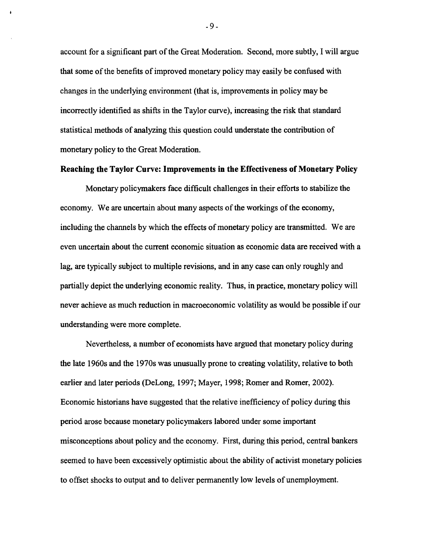account for a significant part of the Great Moderation. Second, more subtly, I will argue that some of the benefits of improved monetary policy may easily be confused with changes in the underlying environment (that is, improvements in policy may be incorrectly identified as shifts in the Taylor curve), increasing the risk that standard statistical methods of analyzing this question could understate the contribution of monetary policy to the Great Moderation.

#### **Reaching the Taylor Curve: Improvements in the Effectiveness of Monetary Policy**

Monetary policymakers face difficult challenges in their efforts to stabilize the economy. We are uncertain about many aspects of the workings of the economy, including the channels by which the effects of monetary policy are transmitted. We are even uncertain about the current economic situation as economic data are received with a lag, are typically subject to multiple revisions, and in any case can only roughly and partially depict the underlying economic reality. Thus, in practice, monetary policy will never achieve as much reduction in macroeconomic volatility as would be possible if our understanding were more complete.

Nevertheless, a number of economists have argued that monetary policy during the late 1960s and the 1970s was unusually prone to creating volatility, relative to both earlier and later periods (DeLong, 1997; Mayer, 1998; Romer and Romer, 2002). Economic historians have suggested that the relative inefficiency of policy during this period arose because monetary policymakers labored under some important misconceptions about policy and the economy. First, during this period, central bankers seemed to have been excessively optimistic about the ability of activist monetary policies to offset shocks to output and to deliver permanently low levels of unemployment.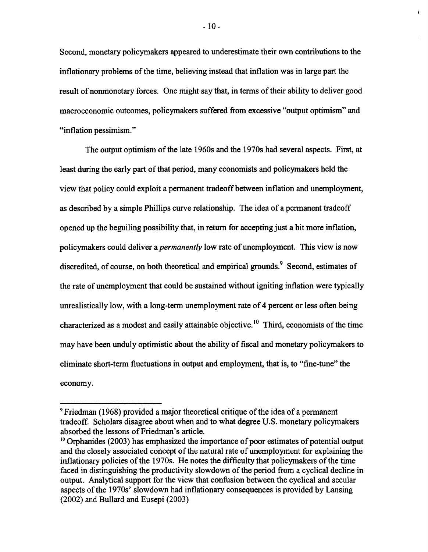Second, monetary policymakers appeared to underestimate their own contributions to the inflationary problems of the time, believing instead that inflation was in large part the result of nonmonetary forces. One might say that, in terms of their ability to deliver good macroeconomic outcomes, policymakers suffered from excessive "output optimism" and "inflation pessimism."

The output optimism of the late 1960s and the 1970s had several aspects. First, at least during the early part of that period, many economists and policymakers held the view that policy could exploit a permanent tradeoff between inflation and unemployment, as described by a simple Phillips curve relationship. The idea of a permanent tradeoff opened up the beguiling possibility that, in return for accepting just a bit more inflation, policymakers could deliver *apermanentiy* low rate of unemployment. This view is now discredited, of course, on both theoretical and empirical grounds.<sup>9</sup> Second, estimates of the rate of unemployment that could be sustained without igniting inflation were typically unrealistically low, with a long-term unemployment rate of 4 percent or less often being characterized as a modest and easily attainable objective.<sup>10</sup> Third, economists of the time may have been unduly optimistic about the ability of fiscal and monetary policymakers to eliminate short-term fluctuations in output and employment, that is, to "fine-tune" the economy.

¥.

<sup>9</sup> Friedman (1968) provided a major theoretical critique of the idea of a permanent tradeoff. Scholars disagree about when and to what degree U.S. monetary policymakers absorbed the lessons of Friedman's article.

<sup>&</sup>lt;sup>10</sup> Orphanides (2003) has emphasized the importance of poor estimates of potential output and the closely associated concept of the natural rate of unemployment for explaining the inflationary policies of the 1970s. He notes the difficulty that policymakers of the time faced in distinguishing the productivity slowdown of the period from a cyclical decline in output. Analytical support for the view that confusion between the cyclical and secular aspects of the 1970s' slowdown had inflationary consequences is provided by Lansing (2002) and Bullard and Eusepi (2003)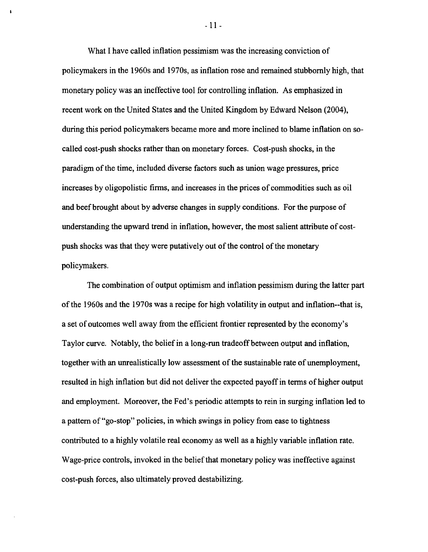What I have called inflation pessimism was the increasing conviction of policymakers in the 1960s and 1970s, as inflation rose and remained stubbornly high, that monetary policy was an ineffective tool for controlling inflation. As emphasized in recent work on the United States and the United Kingdom by Edward Nelson (2004), during this period policymakers became more and more inclined to blame inflation on socalled cost-push shocks rather than on monetary forces. Cost-push shocks, in the paradigm of the time, included diverse factors such as union wage pressures, price increases by oligopolistic firms, and increases in the prices of commodities such as oil and beef brought about by adverse changes in supply conditions. For the purpose of understanding the upward trend in inflation, however, the most salient attribute of costpush shocks was that they were putatively out of the control of the monetary policymakers.

The combination of output optimism and inflation pessimism during the latter part of the 1960s and the 1970s was a recipe for high volatility in output and inflation--that is, a set of outcomes well away from the efficient frontier represented by the economy's Taylor curve. Notably, the belief in a long-run tradeoff between output and inflation, together with an unrealistically low assessment of the sustainable rate of unemployment, resulted in high inflation but did not deliver the expected payoff in terms of higher output and employment. Moreover, the Fed's periodic attempts to rein in surging inflation led to a pattern of "go-stop" policies, in which swings in policy from ease to tightness contributed to a highly volatile real economy as well as a highly variable inflation rate. Wage-price controls, invoked in the belief that monetary policy was ineffective against cost-push forces, also ultimately proved destabilizing.

- 11 -

٠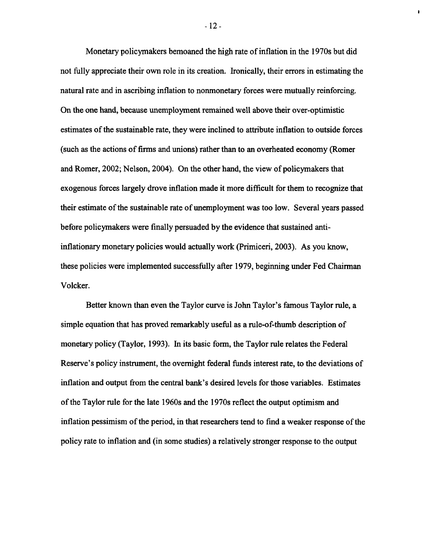Monetary policymakers bemoaned the high rate of inflation in the 1970s but did not fully appreciate their own role in its creation. Ironically, their errors in estimating the natural rate and in ascribing inflation to nonmonetary forces were mutually reinforcing. On the one hand, because unemployment remained well above their over-optimistic estimates of the sustainable rate, they were inclined to attribute inflation to outside forces (such as the actions of firms and unions) rather than to an overheated economy (Romer and Romer, 2002; Nelson, 2004). On the other hand, the view of policymakers that exogenous forces largely drove inflation made it more difficult for them to recognize that their estimate of the sustainable rate of unemployment was too low. Several years passed before policymakers were finally persuaded by the evidence that sustained antiinflationary monetary policies would actually work (primiceri, 2003). As you know, these policies were implemented successfully after 1979, beginning under Fed Chairman Volcker.

Better known than even the Taylor curve is John Taylor's famous Taylor rule, a simple equation that has proved remarkably useful as a rule-of-thumb description of monetary policy (Taylor, 1993). In its basic form, the Taylor rule relates the Federal Reserve's policy instrument, the overnight federal funds interest rate, to the deviations of inflation and output from the central bank's desired levels for those variables. Estimates of the Taylor rule for the late 1960s and the 1970s reflect the output optimism and inflation pessimism of the period, in that researchers tend to find a weaker response of the policy rate to inflation and (in some studies) a relatively stronger response to the output

- 12 -

¥.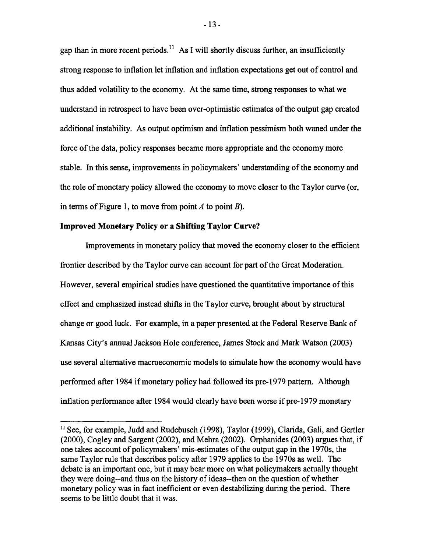gap than in more recent periods.<sup>11</sup> As I will shortly discuss further, an insufficiently strong response to inflation let inflation and inflation expectations get out of control and thus added volatility to the economy. At the same time, strong responses to what we understand in retrospect to have been over-optimistic estimates of the output gap created additional instability. As output optimism and inflation pessimism both waned under the force of the data, policy responses became more appropriate and the economy more stable. In this sense, improvements in policymakers' understanding of the economy and the role of monetary policy allowed the economy to move closer to the Taylor curve (or, in terms of Figure 1, to move from point  $A$  to point  $B$ ).

## Improved Monetary Policy or a Shifting Taylor Curve?

Improvements in monetary policy that moved the economy closer to the efficient frontier described by the Taylor curve can account for part of the Great Moderation. However, several empirical studies have questioned the quantitative importance of this effect and emphasized instead shifts in the Taylor curve, brought about by structural change or good luck. For example, in a paper presented at the Federal Reserve Bank of Kansas City's annual Jackson Hole conference, James Stock and Mark Watson (2003) use several alternative macroeconomic models to simulate how the economy would have performed after 1984 if monetary policy had followed its pre-l 979 pattern. Although inflation performance after 1984 would clearly have been worse if pre-1979 monetary

<sup>&</sup>lt;sup>11</sup> See, for example, Judd and Rudebusch (1998), Taylor (1999), Clarida, Gali, and Gertler (2000), Cogley and Sargent (2002), and Mehra (2002). Orphanides (2003) argues that, if one takes account of policymakers' mis-estimates of the output gap in the 1970s, the same Taylor rule that describes policy after 1979 applies to the 1970s as well. The debate is an important one, but it may bear more on what policymakers actually thought they were doing--and thus on the history of ideas--then on the question of whether monetary policy was in fact inefficient or even destabilizing during the period. There seems to be little doubt that it was.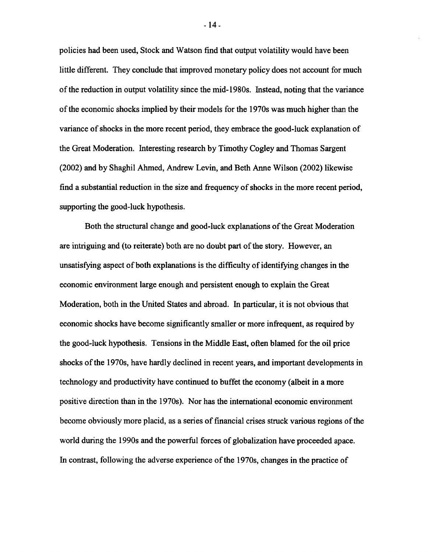policies had been used, Stock and Watson find that output volatility would have been little different. They conclude that improved monetary policy does not account for much of the reduction in output volatility since the mid-1980s. Instead, noting that the variance of the economic shocks implied by their models for the 1970s was much higher than the variance of shocks in the more recent period, they embrace the good-luck explanation of the Great Moderation. Interesting research by Timothy Cogley and Thomas Sargent (2002) and by Shaghil Ahmed, Andrew Levin, and Beth Anne Wilson (2002) likewise find a substantial reduction in the size and frequency of shocks in the more recent period, supporting the good-luck hypothesis.

Both the structural change and good-luck explanations of the Great Moderation are intriguing and (to reiterate) both are no doubt part of the story. However, an unsatisfying aspect of both explanations is the difficulty of identifying changes in the economic environment large enough and persistent enough to explain the Great Moderation, both in the United States and abroad. In particular, it is not obvious that economic shocks have become significantly smaller or more infrequent, as required by the good-luck hypothesis. Tensions in the Middle East, often blamed for the oil price shocks of the 1970s, have hardly declined in recent years, and important developments in technology and productivity have continued to buffet the economy (albeit in a more positive direction than in the 1970s). Nor has the international economic environment become obviously more placid, as a series of financial crises struck various regions of the world during the 1 990s and the powerful forces of globalization have proceeded apace. In contrast, following the adverse experience of the 1970s, changes in the practice of

-14-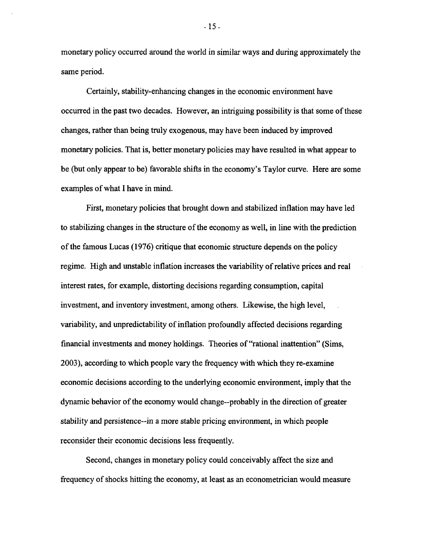monetary policy occurred around the world in similar ways and during approximately the same period.

Certainly, stability-enhancing changes in the economic environment have occurred in the past two decades. However, an intriguing possibility is that some of these changes, rather than being truly exogenous, may have been induced by improved monetary policies. That is, better monetary policies may have resulted in what appear to be (but only appear to be) favorable shifts in the economy's Taylor curve. Here are some examples of what I have in mind.

First, monetary policies that brought down and stabilized inflation may have led to stabilizing changes in the structure of the economy as well, in line with the prediction of the famous Lucas (1976) critique that economic structure depends on the policy regime. High and unstable inflation increases the variability of relative prices and real interest rates, for example, distorting decisions regarding consumption, capital investment, and inventory investment, among others. Likewise, the high level, variability, and unpredictability of inflation profoundly affected decisions regarding financial investments and money holdings. Theories of "rational inattention" (Sims, 2003), according to which people vary the frequency with which they re-examine economic decisions according to the underlying economic environment, imply that the dynamic behavior of the economy would change--probably in the direction of greater stability and persistence--in a more stable pricing environment, in which people reconsider their economic decisions less frequently.

Second, changes in monetary policy could conceivably affect the size and frequency of shocks hitting the economy, at least as an econometrician would measure

- 15 -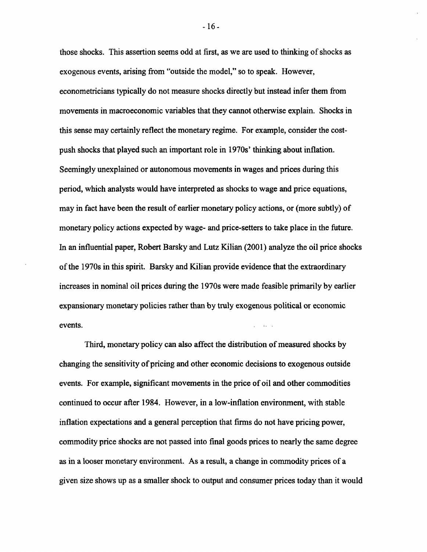those shocks. This assertion seems odd at first, as we are used to thinking of shocks as exogenous events, arising from "outside the model," so to speak. However, econometricians typically do not measure shocks directly but instead infer them from movements in macroeconomic variables that they cannot otherwise explain. Shocks in this sense may certainly reflect the monetary regime. For example, consider the costpush shocks that played such an important role in 1970s' thinking about inflation. Seemingly unexplained or autonomous movements in wages and prices during this period, which analysts would have interpreted as shocks to wage and price equations, may in fact have been the result of earlier monetary policy actions, or (more subtly) of monetary policy actions expected by wage- and price-setters to take place in the future. In an influential paper, Robert Barsky and Lutz Kilian (2001) analyze the oil price shocks of the 1970s in this spirit. Barsky and Kilian provide evidence that the extraordinary increases in nominal oil prices during the 1970s were made feasible primarily by earlier expansionary monetary policies rather than by truly exogenous political or economic events.

Third, monetary policy can also affect the distribution of measured shocks by changing the sensitivity of pricing and other economic decisions to exogenous outside events. For example, significant movements in the price of oil and other commodities continued to occur after 1984. However, in a low-inflation environment, with stable inflation expectations and a general perception that firms do not have pricing power, commodity price shocks are not passed into final goods prices to nearly the same degree as in a looser monetary environment. As a result, a change in commodity prices of a given size shows up as a smaller shock to output and consumer prices today than it would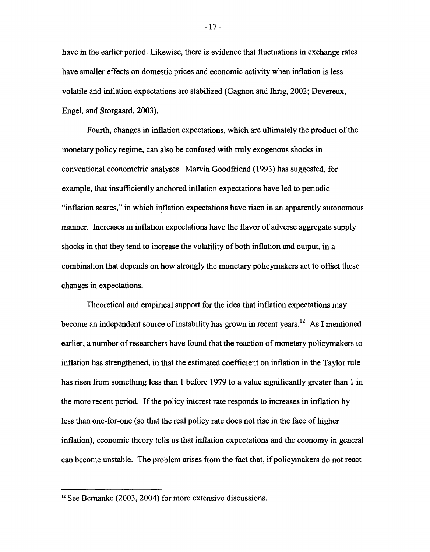have in the earlier period. Likewise, there is evidence that fluctuations in exchange rates have smaller effects on domestic prices and economic activity when inflation is less volatile and inflation expectations are stabilized (Gagnon and Ihrig, 2002; Devereux, Engel, and Storgaard, 2003).

Fourth, changes in inflation expectations, which are ultimately the product of the monetary policy regime, can also be confused with truly exogenous shocks in conventional econometric analyses. Marvin Goodfriend (1993) has suggested, for example, that insufficiently anchored inflation expectations have led to periodic "inflation scares," in which inflation expectations have risen in an apparently autonomous manner. Increases in inflation expectations have the flavor of adverse aggregate supply shocks in that they tend to increase the volatility of both inflation and output, in a combination that depends on how strongly the monetary policymakers act to offset these changes in expectations.

Theoretical and empirical support for the idea that inflation expectations may become an independent source of instability has grown in recent years.<sup>12</sup> As I mentioned earlier, a number of researchers have found that the reaction of monetary policymakers to inflation has strengthened, in that the estimated coefficient on inflation in the Taylor rule has risen from something less than 1 before 1979 to a value significantly greater than 1 in the more recent period. If the policy interest rate responds to increases in inflation by less than one-for-one (so that the real policy rate does not rise in the face of higher inflation), economic theory tells us that inflation expectations and the economy in general can become unstable. The problem arises from the fact that, if policymakers do not react

<sup>&</sup>lt;sup>12</sup> See Bernanke (2003, 2004) for more extensive discussions.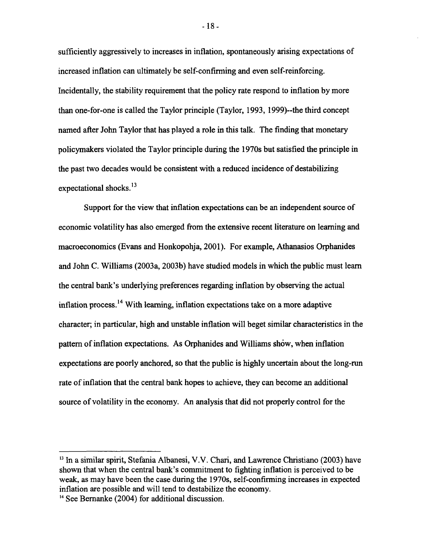sufficiently aggressively to increases in inflation, spontaneously arising expectations of increased inflation can ultimately be self-confirming and even self-reinforcing. Incidentally, the stability requirement that the policy rate respond to inflation by more than one-for-one is called the Taylor principle (Taylor, 1993, 1999)--the third concept named after John Taylor that has played a role in this talk. The finding that monetary policymakers violated the Taylor principle during the 1970s but satisfied the principle in the past two decades would be consistent with a reduced incidence of destabilizing expectational shocks. $^{13}$ 

Support for the view that inflation expectations can be an independent source of economic volatility has also emerged from the extensive recent literature on learning and macroeconomics (Evans and Honkopohja, 2001). For example, Athanasios Orphanides and John C. Williams (2003a, 2003b) have studied models in which the public must learn the central bank's underlying preferences regarding inflation by observing the actual inflation process.<sup>14</sup> With learning, inflation expectations take on a more adaptive character; in particular, high and unstable inflation will beget similar characteristics in the pattern of inflation expectations. As Orphanides and Williams show, when inflation expectations are poorly anchored, so that the public is highly uncertain about the long-run rate of inflation that the central bank hopes to achieve, they can become an additional source of volatility in the economy. An analysis that did not properly control for the

<sup>&</sup>lt;sup>13</sup> In a similar spirit, Stefania Albanesi, V.V. Chari, and Lawrence Christiano (2003) have shown that when the central bank's commitment to fighting inflation is perceived to be weak, as may have been the case during the 1970s, self-confirming increases in expected inflation are possible and will tend to destabilize the economy.

<sup>14</sup> See Bemanke (2004) for additional discussion.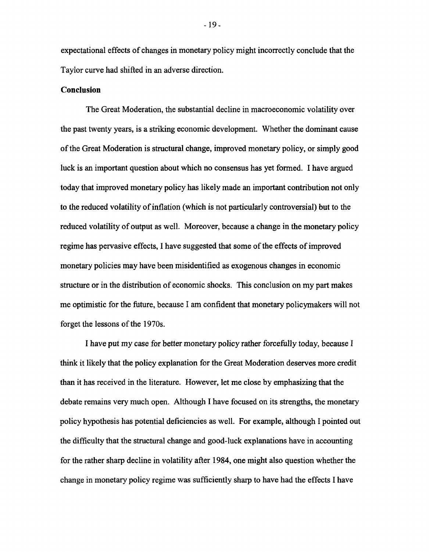expectational effects of changes in monetary policy might incorrectly conclude that the Taylor curve had shifted in an adverse direction.

# **Conclusion**

The Great Moderation, the substantial decline in macroeconomic volatility over the past twenty years, is a striking economic development. Whether the dominant cause of the Great Moderation is structural change, improved monetary policy, or simply good luck is an important question about which no consensus has yet formed. I have argued today that improved monetary policy has likely made an important contribution not only to the reduced volatility of inflation (which is not particularly controversial) but to the reduced volatility of output as well. Moreover, because a change in the monetary policy regime has pervasive effects, I have suggested that some of the effects of improved monetary policies may have been misidentified as exogenous changes in economic structure or in the distribution of economic shocks. This conclusion on my part makes me optimistic for the future, because I am confident that monetary policymakers will not forget the lessons of the 1970s.

I have put my case for better monetary policy rather forcefully today, because I think it likely that the policy explanation for the Great Moderation deserves more credit than it has received in the literature. However, let me close by emphasizing that the debate remains very much open. Although I have focused on its strengths, the monetary policy hypothesis has potential deficiencies as well. For example, although I pointed out the difficulty that the structural change and good-luck explanations have in accounting for the rather sharp decline in volatility after 1984, one might also question whether the change in monetary policy regime was sufficiently sharp to have had the effects I have

- 19-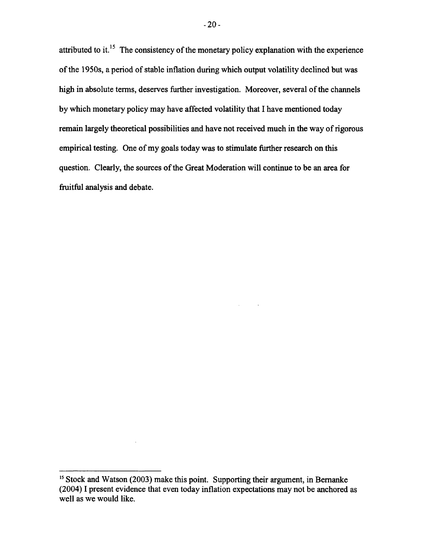attributed to it.<sup>15</sup> The consistency of the monetary policy explanation with the experience of the 1950s, a period of stable inflation during which output volatility declined but was high in absolute terms, deserves further investigation. Moreover, several of the channels by which monetary policy may have affected volatility that I have mentioned today remain largely theoretical possibilities and have not received much in the way of rigorous empirical testing. One of my goals today was to stimulate further research on this question. Clearly, the sources of the Great Moderation will continue to be an area for fruitful analysis and debate.

 $\mathcal{L}_{\rm{max}}$ 

 $15$  Stock and Watson (2003) make this point. Supporting their argument, in Bernanke (2004) I present evidence that even today inflation expectations may not be anchored as well as we would like.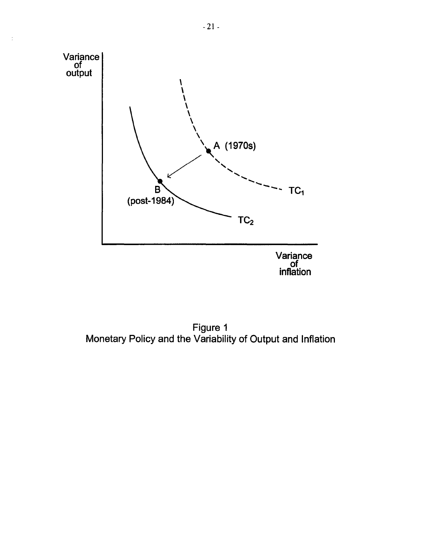

 $\frac{1}{2}$ 

Figure 1 Monetary Policy and the Variability of Output and Inflation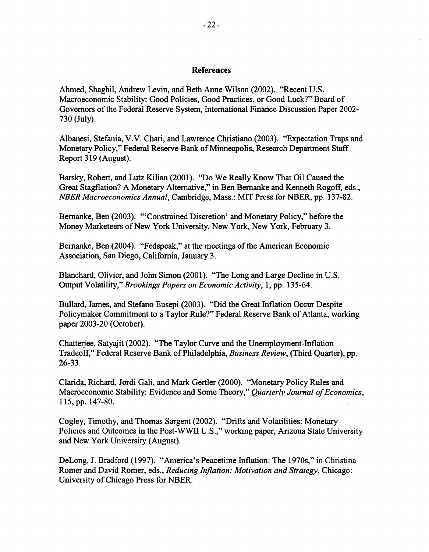## **References**

Ahmed, Shaghil, Andrew Levin, and Beth Anne Wilson (2002). "Recent U.S. Macroeconomic Stability: Good Policies, Good Practices, or Good Luck?" Board of Governors of the Federal Reserve System, International Finance Discussion Paper 2002- 730 (July).

Albanesi, Stefania, V.V. Chari, and Lawrence Christiano (2003). "Expectation Traps and Monetary Policy," Federal Reserve Bank of Minneapolis, Research Department Staff Report 319 (August).

Barsky, Robert, and Lutz Kilian (2001). "Do We Really Know That Oil Caused the Great Stagflation? A Monetary Alternative," in Ben Bernanke and Kenneth Rogoff, eds., *NBER Macroeconomics Annual,* Cambridge, Mass.: MIT Press for NBER, pp. 137-82.

Bernanke, Ben (2003). '''Constrained Discretion' and Monetary Policy," before the Money Marketeers of New York University, New York, New York, February 3.

Bernanke, Ben (2004). "Fedspeak," at the meetings of the American Economic Association, San Diego, California, January 3.

Blanchard, Olivier, and John Simon (2001). "The Long and Large Decline in U.S. Output Volatility," *Brookings Papers on Economic Activity,* 1, pp. 135-64.

Bullard, James, and Stefano Eusepi (2003). "Did the Great Inflation Occur Despite Policymaker Commitment to a Taylor Rule?" Federal Reserve Bank of Atlanta, working paper 2003-20 (October).

Chatterjee, Satyajit (2002). "The Taylor Curve and the Unemployment-Inflation Tradeoff," Federal Reserve Bank of Philadelphia, *Business Review,* (Third Quarter), pp. 26-33.

Clarida, Richard, Jordi Gali, and Mark Gertler (2000). "Monetary Policy Rules and Macroeconomic Stability: Evidence and Some Theory," *Quarterly Journal of Economics,*  lIS, pp. 147-80.

Cogley, Timothy, and Thomas Sargent (2002). "Drifts and Volatilities: Monetary Policies and Outcomes in the Post-WWII U.S.," working paper, Arizona State University and New York University (August).

DeLong, J. Bradford (1997). "America's Peacetime Inflation: The 1970s," in Christina Romer and David Romer, eds., *Reducing Inflation: Motivation and Strategy,* Chicago: University of Chicago Press for NBER.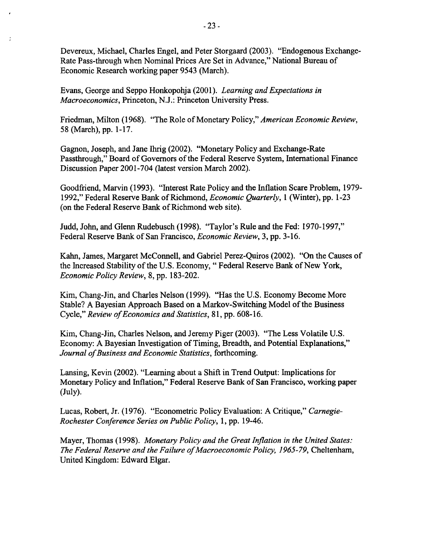Devereux, Michael, Charles Engel, and Peter Storgaard (2003). "Endogenous Exchange-Rate Pass-through when Nominal Prices Are Set in Advance," National Bureau of Economic Research working paper 9543 (March).

Evans, George and Seppo Honkopohja (2001). *Learning and Expectations in Macroeconomics,* Princeton, N.J.: Princeton University Press.

 $\mathbf{r}$ 

Friedman, Milton (1968). "The Role of Monetary Policy," *American Economic Review,*  58 (March), pp. 1-17.

Gagnon, Joseph, and Jane Ihrig (2002). "Monetary Policy and Exchange-Rate Passthrough," Board of Governors of the Federal Reserve System, International Finance Discussion Paper 2001-704 (latest version March 2002).

Goodfriend, Marvin (1993). "Interest Rate Policy and the Inflation Scare Problem, 1979- 1992," Federal Reserve Bank of Richmond, *Economic Quarterly,* 1 (Winter), pp. 1-23 (on the Federal Reserve Bank of Richmond web site).

Judd, John, and Glenn Rudebusch (1998). "Taylor's Rule and the Fed: 1970-1997," Federal Reserve Bank of San Francisco, *Economic Review,* 3, pp. 3-16.

Kahn, James, Margaret McConnell, and Gabriel Perez-Quiros (2002). "On the Causes of the Increased Stability of the U.S. Economy, "Federal Reserve Bank of New York, *Economic Policy Review,* 8, pp. 183-202.

Kim, Chang-Jin, and Charles Nelson (1999). "Has the U.S. Economy Become More Stable? A Bayesian Approach Based on a Markov-Switching Model of the Business Cycle," *Review of Economics and Statistics,* 81, pp. 608-16.

Kim, Chang-Jin, Charles Nelson, and Jeremy Piger (2003). "The Less Volatile U.S. Economy: A Bayesian Investigation of Timing, Breadth, and Potential Explanations," *Journal of Business and Economic Statistics,* forthcoming.

Lansing, Kevin (2002). "Learning about a Shift in Trend Output: Implications for Monetary Policy and Inflation," Federal Reserve Bank of San Francisco, working paper (July).

Lucas, Robert, Jr. (1976). "Econometric Policy Evaluation: A Critique," *Carnegie-Rochester Conference Series on Public Policy,* 1, pp. 19-46.

Mayer, Thomas (1998). *Monetary Policy and the Great Inflation in the United States: The Federal Reserve and the Failure of Macroeconomic Policy,* 1965-79, Cheltenham, United Kingdom: Edward Elgar.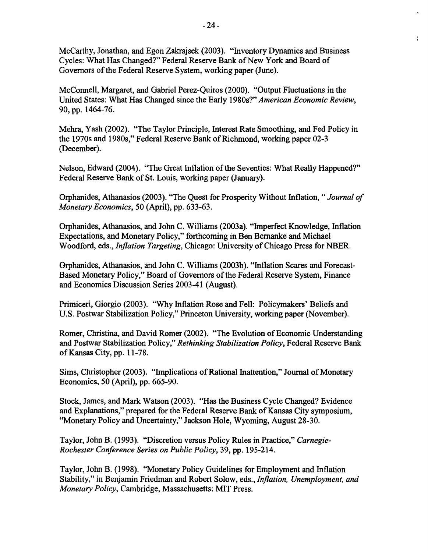McCarthy, Jonathan, and Egon Zakrajsek (2003). "Inventory Dynamics and Business Cycles: What Has Changed?" Federal Reserve Bank of New York and Board of Governors of the Federal Reserve System, working paper (June).

McConnell, Margaret, and Gabriel Perez-Quiros (2000). "Output Fluctuations in the United States: What Has Changed since the Early 1980s?" *American Economic Review,*  90, pp. 1464-76.

Mehra, Yash (2002). "The Taylor Principle, Interest Rate Smoothing, and Fed Policy in the 1970s and 1980s," Federal Reserve Bank of Richmond, working paper 02-3 (December).

Nelson, Edward (2004). "The Great Inflation of the Seventies: What Really Happened?" Federal Reserve Bank of St. Louis, working paper (January).

Orphanides, Athanasios (2003). "The Quest for Prosperity Without Inflation, *"Journal of Monetary Economics,* 50 (April), pp. 633-63.

Orphanides, Athanasios, and John C. Williams (2003a). "Imperfect Knowledge, Inflation Expectations, and Monetary Policy," forthcoming in Ben Bernanke and Michael Woodford, eds., *Inflation Targeting,* Chicago: University of Chicago Press for NBER.

Orphanides, Athanasios, and John C. Williams (2003b). "Inflation Scares and Forecast-Based Monetary Policy," Board of Governors of the Federal Reserve System, Finance and Economics Discussion Series 2003-41 (August).

Primiceri, Giorgio (2003). "Why Inflation Rose and Fell: Policymakers' Beliefs and U.S. Postwar Stabilization Policy," Princeton University, working paper (November).

Romer, Christina, and David Romer (2002). "The Evolution of Economic Understanding and Postwar Stabilization Policy," *Rethinking Stabilization Policy,* Federal Reserve Bank of Kansas City, pp. 11-78.

Sims, Christopher (2003). "Implications of Rational Inattention," Journal of Monetary Economics, 50 (April), pp. 665-90.

Stock, James, and Mark Watson (2003). "Has the Business Cycle Changed? Evidence and Explanations," prepared for the Federal Reserve Bank of Kansas City symposium, "Monetary Policy and Uncertainty," Jackson Hole, Wyoming, August 28-30.

Taylor, John B. (1993). "Discretion versus Policy Rules in Practice," *Carnegie-Rochester Conference Series on Public Policy,* 39, pp. 195-214.

Taylor, John B. (1998). "Monetary Policy Guidelines for Employment and Inflation Stability," in Benjamin Friedman and Robert Solow, eds., *Inflation, Unemployment, and Monetary Policy,* Cambridge, Massachusetts: MIT Press.

 $\mathcal{L}$